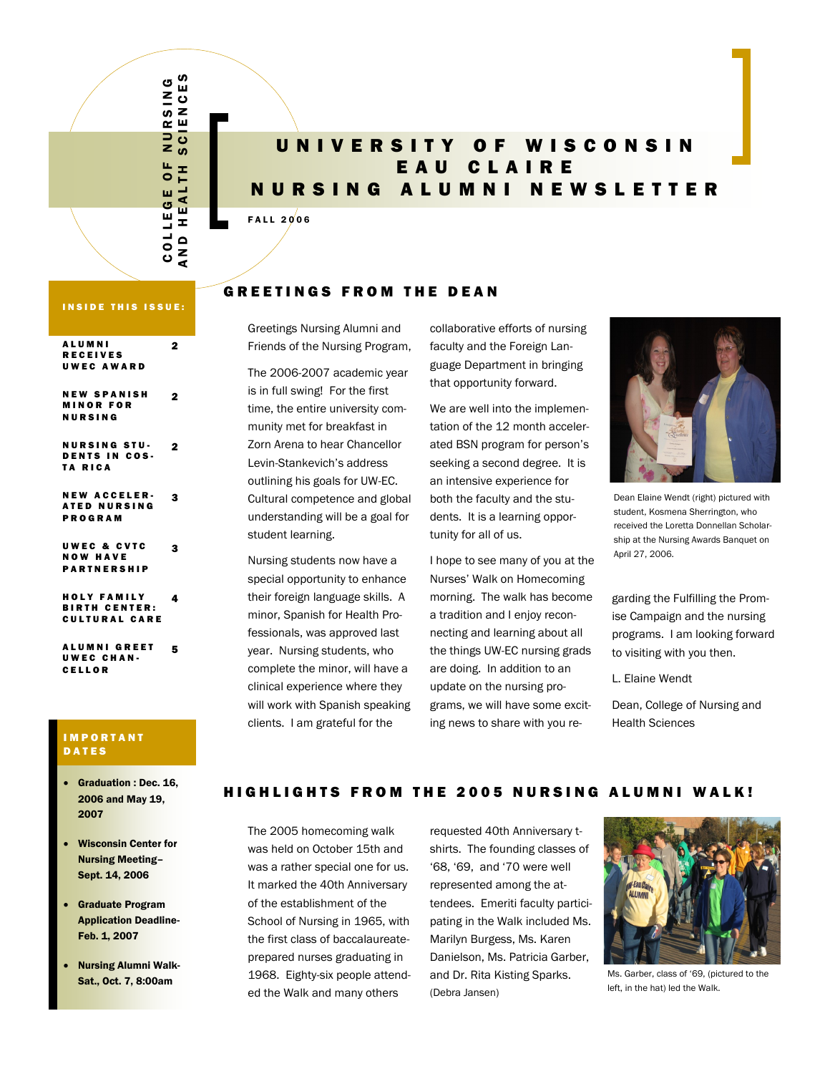#### C O L L E G E O F N U R S I N G RSING<br>IENCES A N D H E A L T H E A L T H E S  $\overline{a}$  $rac{1}{s}$ Щ H  $\bar{\bullet}$ EALT ш COLLEG z  $\frac{0}{z}$ ⋖

# UNIVERSITY OF WISCONSIN E A U C L A I R E N U R S I N G A L U M N I N E W S L E T T E R

#### FALL  $2006$

### INSIDE THIS ISSUE:

| <b>ALUMNI</b><br><b>RECEIVES</b><br><b>UWEC AWARD</b>           | 2 |
|-----------------------------------------------------------------|---|
| <b>NEW SPANISH</b><br><b>MINOR FOR</b><br>NURSING               | 2 |
| <b>NURSING STU-</b><br><b>DENTS IN COS-</b><br>TA RICA          | 2 |
| <b>NEW ACCELER-</b><br><b>ATED NURSING</b><br>PROGRAM           | 3 |
| <b>UWEC &amp; CVTC</b><br><b>NOW HAVE</b><br><b>PARTNERSHIP</b> | 3 |
| HOLY FAMILY<br><b>BIRTH CENTER:</b><br><b>CULTURAL CARE</b>     | 4 |
| <b>ALUMNI GREET</b><br>UWEC CHAN-<br><b>CELLOR</b>              | 5 |

#### **IMPORTANT DATES**

- Graduation : Dec. 16, 2006 and May 19, 2007
- Wisconsin Center for Nursing Meeting– Sept. 14, 2006
- Graduate Program Application Deadline-Feb. 1, 2007
- Nursing Alumni Walk-Sat., Oct. 7, 8:00am

## **GREETINGS FROM THE DEAN**

Greetings Nursing Alumni and Friends of the Nursing Program,

The 2006-2007 academic year is in full swing! For the first time, the entire university community met for breakfast in Zorn Arena to hear Chancellor Levin-Stankevich's address outlining his goals for UW-EC. Cultural competence and global understanding will be a goal for student learning.

Nursing students now have a special opportunity to enhance their foreign language skills. A minor, Spanish for Health Professionals, was approved last year. Nursing students, who complete the minor, will have a clinical experience where they will work with Spanish speaking clients. I am grateful for the

collaborative efforts of nursing faculty and the Foreign Language Department in bringing that opportunity forward.

We are well into the implementation of the 12 month accelerated BSN program for person's seeking a second degree. It is an intensive experience for both the faculty and the students. It is a learning opportunity for all of us.

I hope to see many of you at the Nurses' Walk on Homecoming morning. The walk has become a tradition and I enjoy reconnecting and learning about all the things UW-EC nursing grads are doing. In addition to an update on the nursing programs, we will have some exciting news to share with you re-



Dean Elaine Wendt (right) pictured with student, Kosmena Sherrington, who received the Loretta Donnellan Scholarship at the Nursing Awards Banquet on April 27, 2006.

garding the Fulfilling the Promise Campaign and the nursing programs. I am looking forward to visiting with you then.

L. Elaine Wendt

Dean, College of Nursing and Health Sciences

## HIGHLIGHTS FROM THE 2005 NURSING ALUMNI WALK!

The 2005 homecoming walk was held on October 15th and was a rather special one for us. It marked the 40th Anniversary of the establishment of the School of Nursing in 1965, with the first class of baccalaureateprepared nurses graduating in 1968. Eighty-six people attended the Walk and many others

requested 40th Anniversary tshirts. The founding classes of '68, '69, and '70 were well represented among the attendees. Emeriti faculty participating in the Walk included Ms. Marilyn Burgess, Ms. Karen Danielson, Ms. Patricia Garber, and Dr. Rita Kisting Sparks. (Debra Jansen)



Ms. Garber, class of '69, (pictured to the left, in the hat) led the Walk.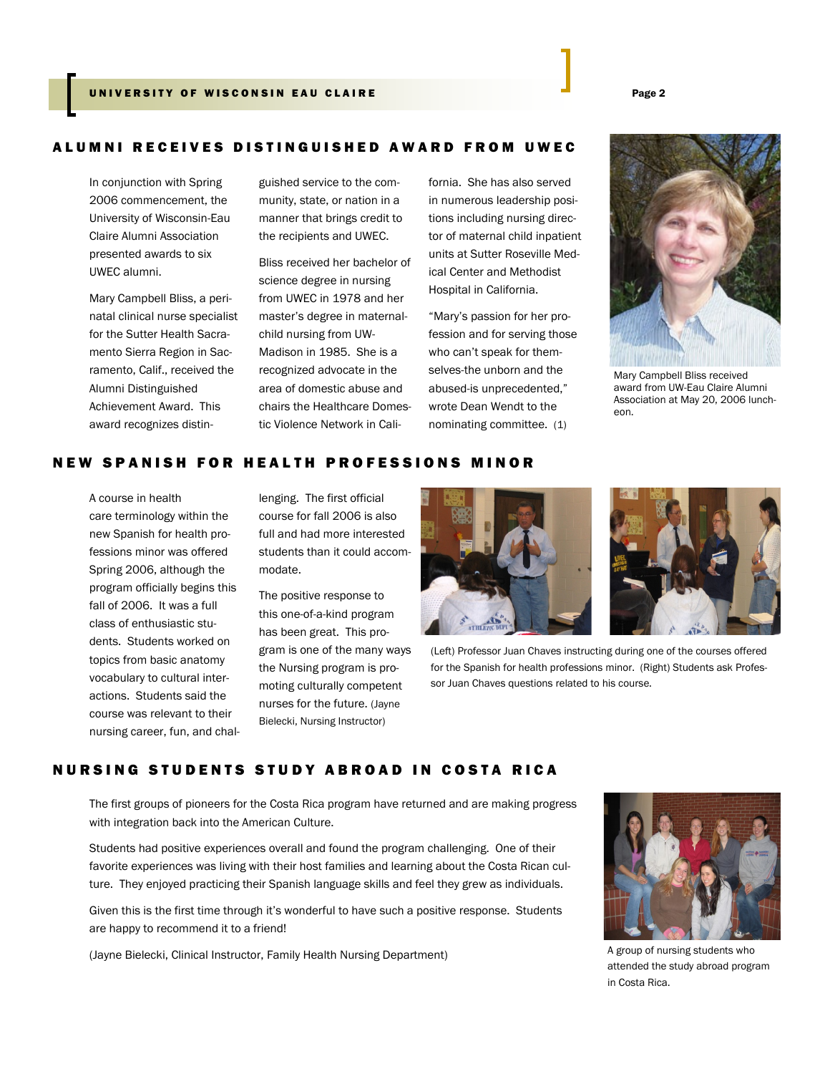### UNIVERSITY OF WISCONSIN EAU CLAIRE **A U SE AN S I A SEARCH A** Page 2

#### A L U M N I R E C E I V E S D I S T I N G U I S H E D A W A R D F R O M U W E C

In conjunction with Spring 2006 commencement, the University of Wisconsin-Eau Claire Alumni Association presented awards to six UWEC alumni.

Mary Campbell Bliss, a perinatal clinical nurse specialist for the Sutter Health Sacramento Sierra Region in Sacramento, Calif., received the Alumni Distinguished Achievement Award. This award recognizes distinguished service to the community, state, or nation in a manner that brings credit to the recipients and UWEC.

Bliss received her bachelor of science degree in nursing from UWEC in 1978 and her master's degree in maternalchild nursing from UW-Madison in 1985. She is a recognized advocate in the area of domestic abuse and chairs the Healthcare Domestic Violence Network in California. She has also served in numerous leadership positions including nursing director of maternal child inpatient units at Sutter Roseville Medical Center and Methodist Hospital in California.

"Mary's passion for her profession and for serving those who can't speak for themselves-the unborn and the abused-is unprecedented," wrote Dean Wendt to the nominating committee. (1)



Mary Campbell Bliss received award from UW-Eau Claire Alumni Association at May 20, 2006 luncheon.

### NEW SPANISH FOR HEALTH PROFESSIONS MINOR

A course in health care terminology within the new Spanish for health professions minor was offered Spring 2006, although the program officially begins this fall of 2006. It was a full class of enthusiastic students. Students worked on topics from basic anatomy vocabulary to cultural interactions. Students said the course was relevant to their nursing career, fun, and challenging. The first official course for fall 2006 is also full and had more interested students than it could accommodate.

The positive response to this one-of-a-kind program has been great. This program is one of the many ways the Nursing program is promoting culturally competent nurses for the future. (Jayne Bielecki, Nursing Instructor)





(Left) Professor Juan Chaves instructing during one of the courses offered for the Spanish for health professions minor. (Right) Students ask Professor Juan Chaves questions related to his course.

## NURSING STUDENTS STUDY ABROAD IN COSTA RICA

The first groups of pioneers for the Costa Rica program have returned and are making progress with integration back into the American Culture.

Students had positive experiences overall and found the program challenging. One of their favorite experiences was living with their host families and learning about the Costa Rican culture. They enjoyed practicing their Spanish language skills and feel they grew as individuals.

Given this is the first time through it's wonderful to have such a positive response. Students are happy to recommend it to a friend!

(Jayne Bielecki, Clinical Instructor, Family Health Nursing Department)



A group of nursing students who attended the study abroad program in Costa Rica.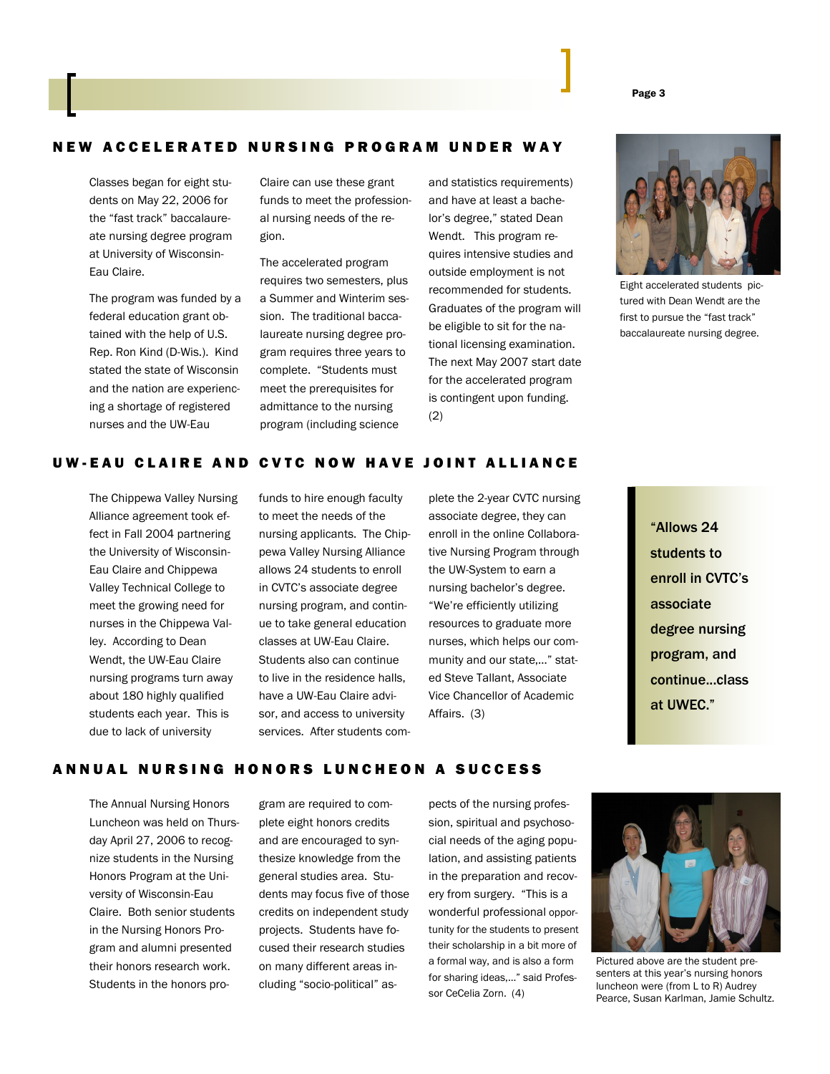#### Page 3

#### NEW ACCELERATED NURSING PROGRAM UNDER WAY

Classes began for eight students on May 22, 2006 for the "fast track" baccalaureate nursing degree program at University of Wisconsin-Eau Claire.

The program was funded by a federal education grant obtained with the help of U.S. Rep. Ron Kind (D-Wis.). Kind stated the state of Wisconsin and the nation are experiencing a shortage of registered nurses and the UW-Eau

Claire can use these grant funds to meet the professional nursing needs of the region.

The accelerated program requires two semesters, plus a Summer and Winterim session. The traditional baccalaureate nursing degree program requires three years to complete. "Students must meet the prerequisites for admittance to the nursing program (including science

and statistics requirements) and have at least a bachelor's degree," stated Dean Wendt. This program requires intensive studies and outside employment is not recommended for students. Graduates of the program will be eligible to sit for the national licensing examination. The next May 2007 start date for the accelerated program is contingent upon funding. (2)



Eight accelerated students pictured with Dean Wendt are the first to pursue the "fast track" baccalaureate nursing degree.

### UW-EAU CLAIRE AND CVTC NOW HAVE JOINT ALLIANCE

The Chippewa Valley Nursing Alliance agreement took effect in Fall 2004 partnering the University of Wisconsin-Eau Claire and Chippewa Valley Technical College to meet the growing need for nurses in the Chippewa Valley. According to Dean Wendt, the UW-Eau Claire nursing programs turn away about 180 highly qualified students each year. This is due to lack of university

funds to hire enough faculty to meet the needs of the nursing applicants. The Chippewa Valley Nursing Alliance allows 24 students to enroll in CVTC's associate degree nursing program, and continue to take general education classes at UW-Eau Claire. Students also can continue to live in the residence halls, have a UW-Eau Claire advisor, and access to university services. After students complete the 2-year CVTC nursing associate degree, they can enroll in the online Collaborative Nursing Program through the UW-System to earn a nursing bachelor's degree. "We're efficiently utilizing resources to graduate more nurses, which helps our community and our state,…" stated Steve Tallant, Associate Vice Chancellor of Academic Affairs. (3)

### ANNUAL NURSING HONORS LUNCHEON A SUCCESS

The Annual Nursing Honors Luncheon was held on Thursday April 27, 2006 to recognize students in the Nursing Honors Program at the University of Wisconsin-Eau Claire. Both senior students in the Nursing Honors Program and alumni presented their honors research work. Students in the honors pro-

gram are required to complete eight honors credits and are encouraged to synthesize knowledge from the general studies area. Students may focus five of those credits on independent study projects. Students have focused their research studies on many different areas including "socio-political" aspects of the nursing profession, spiritual and psychosocial needs of the aging population, and assisting patients in the preparation and recovery from surgery. "This is a wonderful professional opportunity for the students to present their scholarship in a bit more of a formal way, and is also a form for sharing ideas,…" said Professor CeCelia Zorn. (4)



Pictured above are the student presenters at this year's nursing honors luncheon were (from L to R) Audrey Pearce, Susan Karlman, Jamie Schultz.

<sup>&</sup>quot;Allows 24 students to enroll in CVTC's associate degree nursing program, and continue...class at UWEC."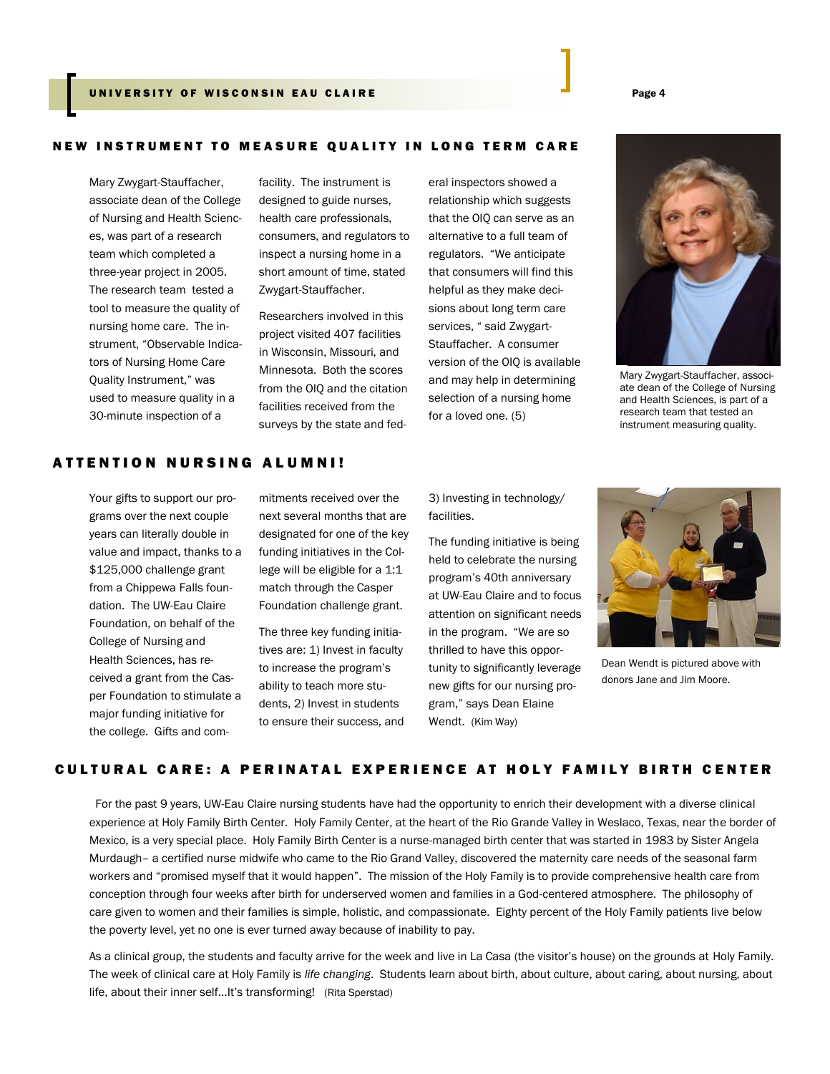### UNIVERSITY OF WISCONSIN EAU CLAIRE **A U SE AN S I A SEAR TH** Page 4

#### NEW INSTRUMENT TO MEASURE QUALITY IN LONG TERM CARE

Mary Zwygart-Stauffacher, associate dean of the College of Nursing and Health Sciences, was part of a research team which completed a three-year project in 2005. The research team tested a tool to measure the quality of nursing home care. The instrument, "Observable Indicators of Nursing Home Care Quality Instrument," was used to measure quality in a 30-minute inspection of a

facility. The instrument is designed to guide nurses, health care professionals, consumers, and regulators to inspect a nursing home in a short amount of time, stated Zwygart-Stauffacher.

Researchers involved in this project visited 407 facilities in Wisconsin, Missouri, and Minnesota. Both the scores from the OIQ and the citation facilities received from the surveys by the state and federal inspectors showed a relationship which suggests that the OIQ can serve as an alternative to a full team of regulators. "We anticipate that consumers will find this helpful as they make decisions about long term care services, " said Zwygart-Stauffacher. A consumer version of the OIQ is available and may help in determining selection of a nursing home for a loved one. (5)



Mary Zwygart-Stauffacher, associate dean of the College of Nursing and Health Sciences, is part of a research team that tested an instrument measuring quality.

## A T T E N T I O N N U R S I N G A L U M N I !

Your gifts to support our programs over the next couple years can literally double in value and impact, thanks to a \$125,000 challenge grant from a Chippewa Falls foundation. The UW-Eau Claire Foundation, on behalf of the College of Nursing and Health Sciences, has received a grant from the Casper Foundation to stimulate a major funding initiative for the college. Gifts and commitments received over the next several months that are designated for one of the key funding initiatives in the College will be eligible for a 1:1 match through the Casper Foundation challenge grant.

The three key funding initiatives are: 1) Invest in faculty to increase the program's ability to teach more students, 2) Invest in students to ensure their success, and 3) Investing in technology/ facilities.

The funding initiative is being held to celebrate the nursing program's 40th anniversary at UW-Eau Claire and to focus attention on significant needs in the program. "We are so thrilled to have this opportunity to significantly leverage new gifts for our nursing program," says Dean Elaine Wendt. (Kim Way)



Dean Wendt is pictured above with donors Jane and Jim Moore.

### CULTURAL CARE: A PERINATAL EXPERIENCE AT HOLY FAMILY BIRTH CENTER

 For the past 9 years, UW-Eau Claire nursing students have had the opportunity to enrich their development with a diverse clinical experience at Holy Family Birth Center. Holy Family Center, at the heart of the Rio Grande Valley in Weslaco, Texas, near the border of Mexico, is a very special place. Holy Family Birth Center is a nurse-managed birth center that was started in 1983 by Sister Angela Murdaugh– a certified nurse midwife who came to the Rio Grand Valley, discovered the maternity care needs of the seasonal farm workers and "promised myself that it would happen". The mission of the Holy Family is to provide comprehensive health care from conception through four weeks after birth for underserved women and families in a God-centered atmosphere. The philosophy of care given to women and their families is simple, holistic, and compassionate. Eighty percent of the Holy Family patients live below the poverty level, yet no one is ever turned away because of inability to pay.

As a clinical group, the students and faculty arrive for the week and live in La Casa (the visitor's house) on the grounds at Holy Family. The week of clinical care at Holy Family is *life changing*. Students learn about birth, about culture, about caring, about nursing, about life, about their inner self...It's transforming! (Rita Sperstad)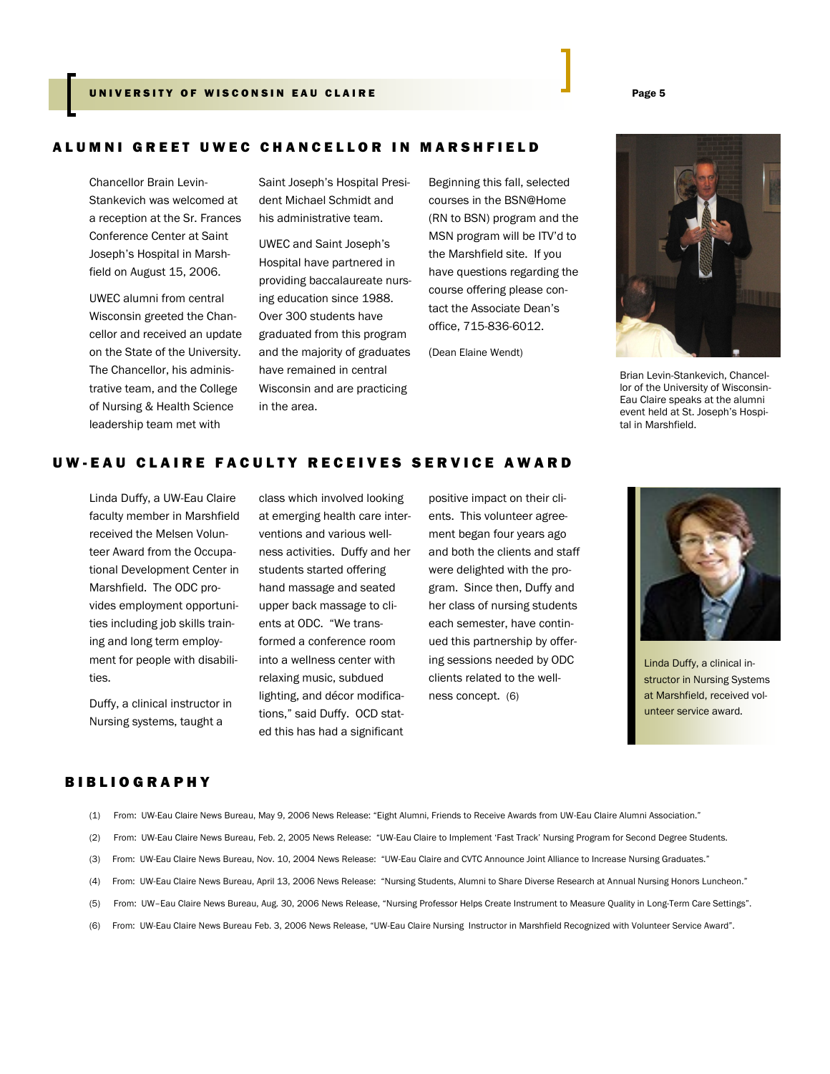### UNIVERSITY OF WISCONSIN EAU CLAIRE **And Service Contains the Service Contains Contains Contains a Containing C**

### ALUMNI GREET UWEC CHANCELLOR IN MARSHFIELD

Chancellor Brain Levin-Stankevich was welcomed at a reception at the Sr. Frances Conference Center at Saint Joseph's Hospital in Marshfield on August 15, 2006.

UWEC alumni from central Wisconsin greeted the Chancellor and received an update on the State of the University. The Chancellor, his administrative team, and the College of Nursing & Health Science leadership team met with

Saint Joseph's Hospital President Michael Schmidt and his administrative team.

UWEC and Saint Joseph's Hospital have partnered in providing baccalaureate nursing education since 1988. Over 300 students have graduated from this program and the majority of graduates have remained in central Wisconsin and are practicing in the area.

Beginning this fall, selected courses in the BSN@Home (RN to BSN) program and the MSN program will be ITV'd to the Marshfield site. If you have questions regarding the course offering please contact the Associate Dean's office, 715-836-6012.

(Dean Elaine Wendt)



Brian Levin-Stankevich, Chancellor of the University of Wisconsin-Eau Claire speaks at the alumni event held at St. Joseph's Hospital in Marshfield.

## UW-EAU CLAIRE FACULTY RECEIVES SERVICE AWARD

Linda Duffy, a UW-Eau Claire faculty member in Marshfield received the Melsen Volunteer Award from the Occupational Development Center in Marshfield. The ODC provides employment opportunities including job skills training and long term employment for people with disabilities.

Duffy, a clinical instructor in Nursing systems, taught a

class which involved looking at emerging health care interventions and various wellness activities. Duffy and her students started offering hand massage and seated upper back massage to clients at ODC. "We transformed a conference room into a wellness center with relaxing music, subdued lighting, and décor modifications," said Duffy. OCD stated this has had a significant

positive impact on their clients. This volunteer agreement began four years ago and both the clients and staff were delighted with the program. Since then, Duffy and her class of nursing students each semester, have continued this partnership by offering sessions needed by ODC clients related to the wellness concept. (6)



Linda Duffy, a clinical instructor in Nursing Systems at Marshfield, received volunteer service award.

### **BIBLIOGRAPHY**

- (1) From: UW-Eau Claire News Bureau, May 9, 2006 News Release: "Eight Alumni, Friends to Receive Awards from UW-Eau Claire Alumni Association."
- (2) From: UW-Eau Claire News Bureau, Feb. 2, 2005 News Release: "UW-Eau Claire to Implement 'Fast Track' Nursing Program for Second Degree Students.
- (3) From: UW-Eau Claire News Bureau, Nov. 10, 2004 News Release: "UW-Eau Claire and CVTC Announce Joint Alliance to Increase Nursing Graduates."
- (4) From: UW-Eau Claire News Bureau, April 13, 2006 News Release: "Nursing Students, Alumni to Share Diverse Research at Annual Nursing Honors Luncheon."
- (5) From: UW–Eau Claire News Bureau, Aug. 30, 2006 News Release, "Nursing Professor Helps Create Instrument to Measure Quality in Long-Term Care Settings".
- (6) From: UW-Eau Claire News Bureau Feb. 3, 2006 News Release, "UW-Eau Claire Nursing Instructor in Marshfield Recognized with Volunteer Service Award".